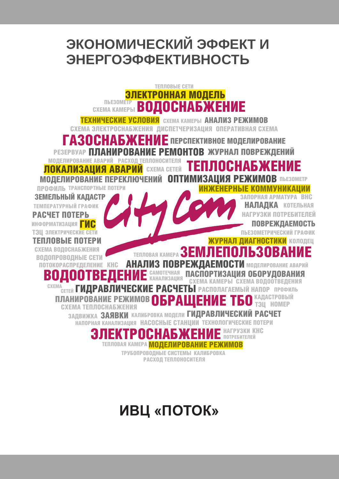

# ИВЦ «ПОТОК»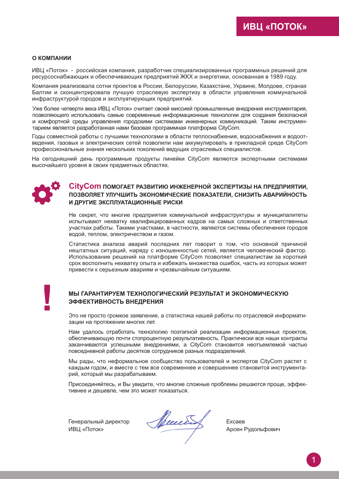### $O$  **КОМПАНИИ**

ИВЦ «Поток» - российская компания, разработчик специализированных программных решений для ресурсоснабжающих и обеспечивающих предприятий ЖКХ и энергетики, основанная в 1989 году.

Компания реализовала сотни проектов в России. Белоруссии, Казахстане, Украине, Молдове, странах Балтии и сконцентрировала лучшую отраслевую экспертизу в области управления коммунальной инфраструктурой городов и эксплуатирующих предприятий.

Уже более четверти века ИВЦ «Поток» считает своей миссией промышленные внедрения инструментария, позволяющего использовать самые современные информационные технологии для создания безопасной и комфортной среды управления городскими системами инженерных коммуникаций. Таким инструментарием является разработанная нами базовая программная платформа CityCom.

Годы совместной работы с лучшими технологами в области теплоснабжения, водоснабжения и водоотведения, газовых и электрических сетей позволили нам аккумулировать в прикладной среде CityCom профессиональные знания нескольких поколений ведущих отраслевых специалистов.

На сегодняшний день программные продукты линейки CityCom являются экспертными системами высочайшего уровня в своих предметных областях.



### **CityCom** помогает развитию инженерной экспертизы на предприятии. ПОЗВОЛЯЕТ УЛУЧШИТЬ ЭКОНОМИЧЕСКИЕ ПОКАЗАТЕЛИ, СНИЗИТЬ АВАРИЙНОСТЬ И ДРУГИЕ ЭКСПЛУАТАЦИОННЫЕ РИСКИ

Не секрет, что многие предприятия коммунальной инфраструктуры и муниципалитеты испытывают нехватку квалифицированных кадров на самых сложных и ответственных участках работы. Такими участками, в частности, являются системы обеспечения городов водой, теплом, электричеством и газом.

Статистика анализа аварий последних лет говорит о том, что основной причиной нештатных ситуаций, наряду с изношенностью сетей, является человеческий фактор. Использование решений на платформе CityCom позволяет специалистам за короткий срок восполнить нехватку опыта и избежать множества ошибок, часть из которых может привести к серьезным авариям и чрезвычайным ситуациям.

### МЫ ГАРАНТИРУЕМ ТЕХНОЛОГИЧЕСКИЙ РЕЗУЛЬТАТ И ЭКОНОМИЧЕСКУЮ ЭФФЕКТИВНОСТЬ ВНЕДРЕНИЯ

Это не просто громкое заявление, а статистика нашей работы по отраслевой информатизации на протяжении многих лет.

Нам удалось отработать технологию поэтапной реализации информационных проектов, обеспечивающую почти стопроцентную результативность. Практически все наши контракты заканчиваются успешными внедрениями, а CityCom становится неотъемлемой частью повседневной работы десятков сотрудников разных подразделений.

Мы рады, что неформальное сообщество пользователей и экспертов CityCom растет с каждым годом, и вместе с тем все современнее и совершеннее становится инструментарий, который мы разрабатываем.

Присоединяйтесь, и Вы увидите, что многие сложные проблемы решаются проще, эффективнее и дешевле, чем это может показаться.

Генеральный лиректор ИВЦ «Поток»

Receit

**Evesep** Арсен Рудольфович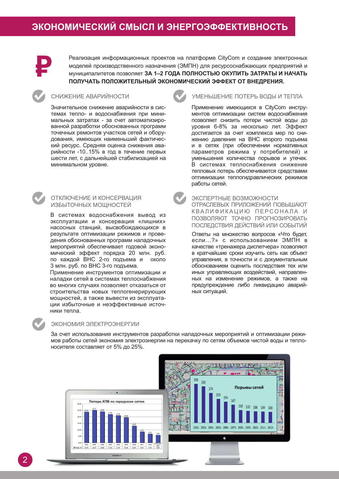

Реализация информационных проектов на платформе CityCom и создание электронных моделей производственного назначения (ЭМПН) для ресурсоснабжающих предприятий и МУНИЦИЛАЛИТЕТОВ ПОЗВОЛЯЕТ ЗА 1-2 ГОДА ПОЛНОСТЬЮ ОКУПИТЬ ЗАТРАТЫ И НАЧАТЬ ПОЛУЧАТЬ ПОЛОЖИТЕЛЬНЫЙ ЭКОНОМИЧЕСКИЙ ЭФФЕКТ ОТ ВНЕДРЕНИЯ.

### СНИЖЕНИЕ АВАРИЙНОСТИ

Значительное снижение аварийности в системах тепло- и водоснабжения при минимальных затратах - за счет автоматизированной разработки обоснованных программ точечных ремонтов участков сетей и оборудования, имеющих наименьший фактический ресурс. Средняя оценка снижения аварийности -10..15% в год в течение первых шести лет, с дальнейшей стабилизацией на минимальном уровне.



### ОТКЛЮЧЕНИЕ И КОНСЕРВАЦИЯ ИЗБЫТОЧНЫХ МОЩНОСТЕЙ

В системах водоснабжения вывод из эксплуатации и консервация «лишних» насосных станций, высвобождающихся в результате оптимизации режимов и проведения обоснованных программ наладочных мероприятий обеспечивает годовой экономический эффект порядка 20 млн. руб. по каждой ВНС 2-го подъема и около 3 млн. руб. по ВНС 3-го подъема.

Применение инструментов оптимизации и наладки сетей в системах теплоснабжения во многих случаях позволяет отказаться от строительства новых теплогенерирующих мощностей, а также вывести из эксплуатации избыточные и неэффективные источники тепла.



### УМЕНЬШЕНИЕ ПОТЕРЬ ВОДЫ И ТЕПЛА

Применение имеющихся в CityCom инструментов оптимизации систем водоснабжения позволяет снизить потери чистой воды до уровня 6-8% за несколько лет. Эффект достигается за счет комплекса мер по снижению давления на ВНС второго подъема и в сетях (при обеспечении нормативных параметров режима у потребителей) и уменьшения количества порывов и утечек. В системах теплоснабжения снижение тепловых потерь обеспечивается средствами оптимизации теплогидравлических режимов работы сетей.

### ЭКСПЕРТНЫЕ ВОЗМОЖНОСТИ

ОТРАСЛЕВЫХ ПРИЛОЖЕНИЙ ПОВЫШАЮТ КВАЛИФИКАЦИЮ ПЕРСОНАЛА И ПОЗВОЛЯЮТ ТОЧНО ПРОГНОЗИРОВАТЬ ПОСЛЕДСТВИЯ ДЕЙСТВИЙ ИЛИ СОБЫТИЙ

Ответы на множество вопросов «Что будет. если...?» с использованием ЭМПН в качестве «тренажера диспетчера» позволяют в кратчайшие сроки изучить сеть как объект управления, в точности и с документальным обоснованием оценить последствия тех или иных управляющих воздействий, направленных на изменение режимов, а также на предупреждение либо ликвидацию аварийных ситуаций.

### ЭКОНОМИЯ ЭЛЕКТРОЭНЕРГИИ

За счет использования инструментов разработки наладочных мероприятий и оптимизации режимов работы сетей экономия электроэнергии на перекачку по сетям объемов чистой воды и теплоносителя составляет от 5% до 25%.

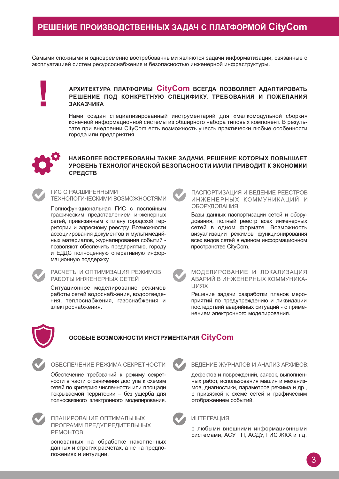### РЕШЕНИЕ ПРОИЗВОДСТВЕННЫХ ЗАДАЧ С ПЛАТФОРМОЙ CityCom

Самыми сложными и одновременно востребованными являются задачи информатизации, связанные с эксплуатацией систем ресурсоснабжения и безопасностью инженерной инфраструктуры.

### АРХИТЕКТУРА ПЛАТФОРМЫ CityCom всегда позволяет адаптировать РЕШЕНИЕ ПОД КОНКРЕТНУЮ СПЕЦИФИКУ, ТРЕБОВАНИЯ И ПОЖЕЛАНИЯ ЗАКАЗЧИКА

Нами создан специализированный инструментарий для «мелкомодульной сборки» конечной информационной системы из обширного набора типовых компонент. В результате при внедрении CityCom есть возможность учесть практически любые особенности города или предприятия.



### НАИБОЛЕЕ ВОСТРЕБОВАНЫ ТАКИЕ ЗАДАЧИ, РЕШЕНИЕ КОТОРЫХ ПОВЫШАЕТ УРОВЕНЬ ТЕХНОЛОГИЧЕСКОЙ БЕЗОПАСНОСТИ И/ИЛИ ПРИВОДИТ К ЭКОНОМИИ **СРЕДСТВ**

ГИС С РАСШИРЕННЫМИ ТЕХНОЛОГИЧЕСКИМИ ВОЗМОЖНОСТЯМИ

Полнофункциональная ГИС с послойным графическим представлением инженерных сетей, привязанным к плану городской территории и адресному реестру. Возможности ассоциирования документов и мультимедийных материалов, журналирования событий позволяют обеспечить предприятию, городу и ЕДДС полноценную оперативную информационную поддержку.



#### РАСЧЕТЫ И ОПТИМИЗАЦИЯ РЕЖИМОВ РАБОТЫ ИНЖЕНЕРНЫХ СЕТЕЙ

Ситуационное моделирование режимов работы сетей водоснабжения, водоотведения, теплоснабжения, газоснабжения и электроснабжения.



### ПАСПОРТИЗАЦИЯ И ВЕДЕНИЕ РЕЕСТРОВ ИНЖЕНЕРНЫХ КОММУНИКАЦИЙ И ОБОРУДОВАНИЯ

Базы данных паспортизации сетей и оборудования, полный реестр всех инженерных сетей в одном формате. Возможность визуализации режимов функционирования всех видов сетей в едином информационном пространстве CityCom.

МОДЕЛИРОВАНИЕ И ЛОКАЛИЗАЦИЯ АВАРИЙ В ИНЖЕНЕРНЫХ КОММУНИКА-**UMRX** 

Решение задачи разработки планов мероприятий по предупреждению и ликвидации последствий аварийных ситуаций - с применением электронного моделирования.



### **ɈɋɈȻɕȿ ȼɈɁɆɈɀɇɈɋɌɂ ɂɇɋɌɊɍɆȿɇɌȺɊɂə Cityɋom**

ОБЕСПЕЧЕНИЕ РЕЖИМА СЕКРЕТНОСТИ

Обеспечение требований к режиму секретности в части ограничения доступа к схемам сетей по критерию численности или площади покрываемой территории – без ущерба для полносвязного электронного моделирования.

ПЛАНИРОВАНИЕ ОПТИМАЛЬНЫХ ПРОГРАММ ПРЕДУПРЕДИТЕЛЬНЫХ PEMOHTOB,

основанных на обработке накопленных данных и строгих расчетах, а не на предположениях и интуиции.



### ВЕДЕНИЕ ЖУРНАЛОВ И АНАЛИЗ АРХИВОВ:

дефектов и повреждений, заявок, выполненных работ, использования машин и механизмов, диагностики, параметров режима и др., с привязкой к схеме сетей и графическим отображением событий.

### **ИНТЕГРАЦИЯ**

с любыми внешними информационными системами, АСУ ТП, АСДУ, ГИС ЖКХ и т.д.